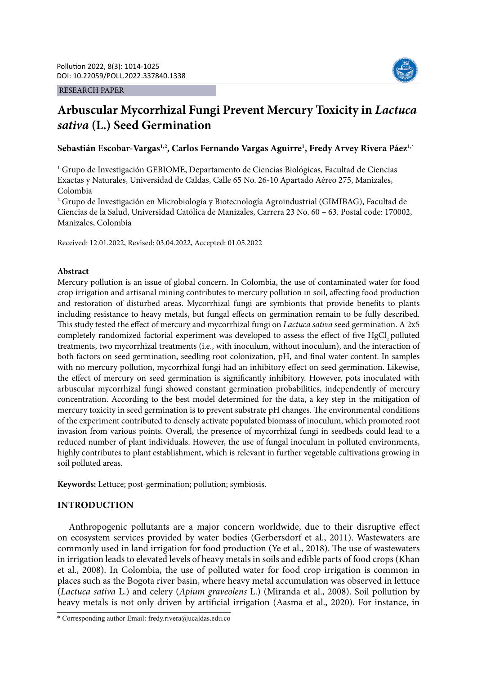### RESEARCH PAPER



# **Arbuscular Mycorrhizal Fungi Prevent Mercury Toxicity in** *Lactuca sativa* **(L.) Seed Germination**

# **Sebastián Escobar-Vargas1,2, Carlos Fernando Vargas Aguirre1 , Fredy Arvey Rivera Páez1,\***

1 Grupo de Investigación GEBIOME, Departamento de Ciencias Biológicas, Facultad de Ciencias Exactas y Naturales, Universidad de Caldas, Calle 65 No. 26-10 Apartado Aéreo 275, Manizales, Colombia

2 Grupo de Investigación en Microbiología y Biotecnología Agroindustrial (GIMIBAG), Facultad de Ciencias de la Salud, Universidad Católica de Manizales, Carrera 23 No. 60 – 63. Postal code: 170002, Manizales, Colombia

Received: 12.01.2022, Revised: 03.04.2022, Accepted: 01.05.2022

## **Abstract**

Mercury pollution is an issue of global concern. In Colombia, the use of contaminated water for food crop irrigation and artisanal mining contributes to mercury pollution in soil, affecting food production and restoration of disturbed areas. Mycorrhizal fungi are symbionts that provide benefits to plants including resistance to heavy metals, but fungal effects on germination remain to be fully described. This study tested the effect of mercury and mycorrhizal fungi on *Lactuca sativa* seed germination. A 2x5 completely randomized factorial experiment was developed to assess the effect of five HgCl<sub>2</sub> polluted treatments, two mycorrhizal treatments (i.e., with inoculum, without inoculum), and the interaction of both factors on seed germination, seedling root colonization, pH, and final water content. In samples with no mercury pollution, mycorrhizal fungi had an inhibitory effect on seed germination. Likewise, the effect of mercury on seed germination is significantly inhibitory. However, pots inoculated with arbuscular mycorrhizal fungi showed constant germination probabilities, independently of mercury concentration. According to the best model determined for the data, a key step in the mitigation of mercury toxicity in seed germination is to prevent substrate pH changes. The environmental conditions of the experiment contributed to densely activate populated biomass of inoculum, which promoted root invasion from various points. Overall, the presence of mycorrhizal fungi in seedbeds could lead to a reduced number of plant individuals. However, the use of fungal inoculum in polluted environments, highly contributes to plant establishment, which is relevant in further vegetable cultivations growing in soil polluted areas.

**Keywords:** Lettuce; post-germination; pollution; symbiosis.

# **INTRODUCTION**

Anthropogenic pollutants are a major concern worldwide, due to their disruptive effect on ecosystem services provided by water bodies (Gerbersdorf et al., 2011). Wastewaters are commonly used in land irrigation for food production (Ye et al., 2018). The use of wastewaters in irrigation leads to elevated levels of heavy metals in soils and edible parts of food crops (Khan et al., 2008). In Colombia, the use of polluted water for food crop irrigation is common in places such as the Bogota river basin, where heavy metal accumulation was observed in lettuce (*Lactuca sativa* L.) and celery (*Apium graveolens* L.) (Miranda et al., 2008). Soil pollution by heavy metals is not only driven by artificial irrigation (Aasma et al., 2020). For instance, in

<sup>\*</sup> Corresponding author Email: fredy.rivera@ucaldas.edu.co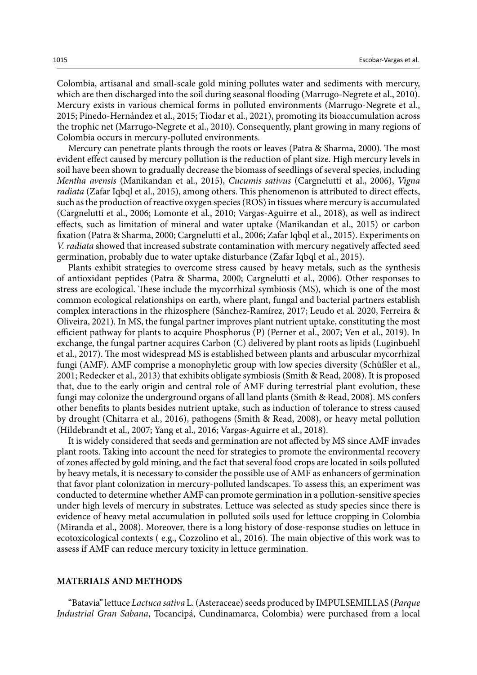Colombia, artisanal and small-scale gold mining pollutes water and sediments with mercury, which are then discharged into the soil during seasonal flooding (Marrugo-Negrete et al., 2010). Mercury exists in various chemical forms in polluted environments (Marrugo-Negrete et al., 2015; Pinedo-Hernández et al., 2015; Tiodar et al., 2021), promoting its bioaccumulation across the trophic net (Marrugo-Negrete et al., 2010). Consequently, plant growing in many regions of Colombia occurs in mercury-polluted environments.

Mercury can penetrate plants through the roots or leaves (Patra & Sharma, 2000). The most evident effect caused by mercury pollution is the reduction of plant size. High mercury levels in soil have been shown to gradually decrease the biomass of seedlings of several species, including *Mentha avensis* (Manikandan et al., 2015), *Cucumis sativus* (Cargnelutti et al., 2006), *Vigna radiata* (Zafar Iqbql et al., 2015), among others. This phenomenon is attributed to direct effects, such as the production of reactive oxygen species (ROS) in tissues where mercury is accumulated (Cargnelutti et al., 2006; Lomonte et al., 2010; Vargas-Aguirre et al., 2018), as well as indirect effects, such as limitation of mineral and water uptake (Manikandan et al., 2015) or carbon fixation (Patra & Sharma, 2000; Cargnelutti et al., 2006; Zafar Iqbql et al., 2015). Experiments on *V. radiata* showed that increased substrate contamination with mercury negatively affected seed germination, probably due to water uptake disturbance (Zafar Iqbql et al., 2015).

Plants exhibit strategies to overcome stress caused by heavy metals, such as the synthesis of antioxidant peptides (Patra & Sharma, 2000; Cargnelutti et al., 2006). Other responses to stress are ecological. These include the mycorrhizal symbiosis (MS), which is one of the most common ecological relationships on earth, where plant, fungal and bacterial partners establish complex interactions in the rhizosphere (Sánchez-Ramírez, 2017; Leudo et al. 2020, Ferreira & Oliveira, 2021). In MS, the fungal partner improves plant nutrient uptake, constituting the most efficient pathway for plants to acquire Phosphorus (P) (Perner et al., 2007; Ven et al., 2019). In exchange, the fungal partner acquires Carbon (C) delivered by plant roots as lipids (Luginbuehl et al., 2017). The most widespread MS is established between plants and arbuscular mycorrhizal fungi (AMF). AMF comprise a monophyletic group with low species diversity (Schüßler et al., 2001; Redecker et al., 2013) that exhibits obligate symbiosis (Smith & Read, 2008). It is proposed that, due to the early origin and central role of AMF during terrestrial plant evolution, these fungi may colonize the underground organs of all land plants (Smith & Read, 2008). MS confers other benefits to plants besides nutrient uptake, such as induction of tolerance to stress caused by drought (Chitarra et al., 2016), pathogens (Smith & Read, 2008), or heavy metal pollution (Hildebrandt et al., 2007; Yang et al., 2016; Vargas-Aguirre et al., 2018).

It is widely considered that seeds and germination are not affected by MS since AMF invades plant roots. Taking into account the need for strategies to promote the environmental recovery of zones affected by gold mining, and the fact that several food crops are located in soils polluted by heavy metals, it is necessary to consider the possible use of AMF as enhancers of germination that favor plant colonization in mercury-polluted landscapes. To assess this, an experiment was conducted to determine whether AMF can promote germination in a pollution-sensitive species under high levels of mercury in substrates. Lettuce was selected as study species since there is evidence of heavy metal accumulation in polluted soils used for lettuce cropping in Colombia (Miranda et al., 2008). Moreover, there is a long history of dose-response studies on lettuce in ecotoxicological contexts ( e.g., Cozzolino et al., 2016). The main objective of this work was to assess if AMF can reduce mercury toxicity in lettuce germination.

### **MATERIALS AND METHODS**

"Batavia" lettuce *Lactuca sativa* L. (Asteraceae) seeds produced by IMPULSEMILLAS (*Parque Industrial Gran Sabana*, Tocancipá, Cundinamarca, Colombia) were purchased from a local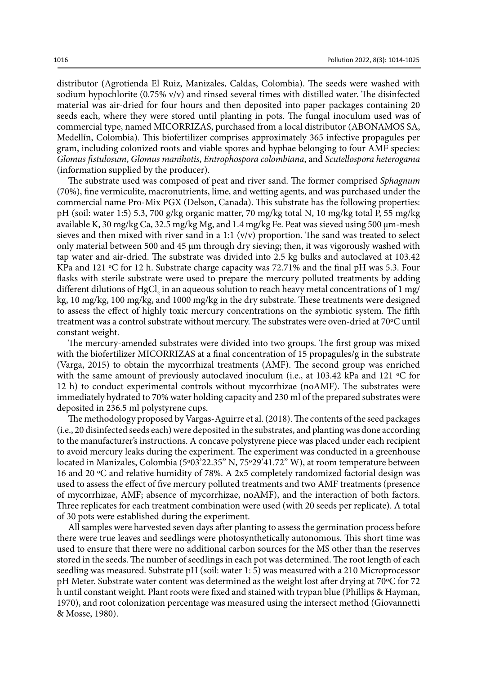distributor (Agrotienda El Ruiz, Manizales, Caldas, Colombia). The seeds were washed with sodium hypochlorite (0.75% v/v) and rinsed several times with distilled water. The disinfected material was air-dried for four hours and then deposited into paper packages containing 20 seeds each, where they were stored until planting in pots. The fungal inoculum used was of commercial type, named MICORRIZAS, purchased from a local distributor (ABONAMOS SA, Medellín, Colombia). This biofertilizer comprises approximately 365 infective propagules per gram, including colonized roots and viable spores and hyphae belonging to four AMF species: *Glomus fistulosum*, *Glomus manihotis*, *Entrophospora colombiana*, and *Scutellospora heterogama* (information supplied by the producer).

The substrate used was composed of peat and river sand. The former comprised *Sphagnum* (70%), fine vermiculite, macronutrients, lime, and wetting agents, and was purchased under the commercial name Pro-Mix PGX (Delson, Canada). This substrate has the following properties: pH (soil: water 1:5) 5.3, 700 g/kg organic matter, 70 mg/kg total N, 10 mg/kg total P, 55 mg/kg available K, 30 mg/kg Ca, 32.5 mg/kg Mg, and 1.4 mg/kg Fe. Peat was sieved using 500 μm-mesh sieves and then mixed with river sand in a 1:1  $(v/v)$  proportion. The sand was treated to select only material between 500 and 45  $\mu$ m through dry sieving; then, it was vigorously washed with tap water and air-dried. The substrate was divided into 2.5 kg bulks and autoclaved at 103.42 KPa and 121 ºC for 12 h. Substrate charge capacity was 72.71% and the final pH was 5.3. Four flasks with sterile substrate were used to prepare the mercury polluted treatments by adding different dilutions of HgCl<sub>2</sub> in an aqueous solution to reach heavy metal concentrations of 1 mg/ kg, 10 mg/kg, 100 mg/kg, and 1000 mg/kg in the dry substrate. These treatments were designed to assess the effect of highly toxic mercury concentrations on the symbiotic system. The fifth treatment was a control substrate without mercury. The substrates were oven-dried at 70ºC until constant weight.

The mercury-amended substrates were divided into two groups. The first group was mixed with the biofertilizer MICORRIZAS at a final concentration of 15 propagules/g in the substrate (Varga, 2015) to obtain the mycorrhizal treatments (AMF). The second group was enriched with the same amount of previously autoclaved inoculum (i.e., at 103.42 kPa and 121 ºC for 12 h) to conduct experimental controls without mycorrhizae (noAMF). The substrates were immediately hydrated to 70% water holding capacity and 230 ml of the prepared substrates were deposited in 236.5 ml polystyrene cups.

The methodology proposed by Vargas-Aguirre et al. (2018). The contents of the seed packages (i.e., 20 disinfected seeds each) were deposited in the substrates, and planting was done according to the manufacturer's instructions. A concave polystyrene piece was placed under each recipient to avoid mercury leaks during the experiment. The experiment was conducted in a greenhouse located in Manizales, Colombia (5º03'22.35'' N, 75º29'41.72'' W), at room temperature between 16 and 20 ºC and relative humidity of 78%. A 2x5 completely randomized factorial design was used to assess the effect of five mercury polluted treatments and two AMF treatments (presence of mycorrhizae, AMF; absence of mycorrhizae, noAMF), and the interaction of both factors. Three replicates for each treatment combination were used (with 20 seeds per replicate). A total of 30 pots were established during the experiment.

All samples were harvested seven days after planting to assess the germination process before there were true leaves and seedlings were photosynthetically autonomous. This short time was used to ensure that there were no additional carbon sources for the MS other than the reserves stored in the seeds. The number of seedlings in each pot was determined. The root length of each seedling was measured. Substrate pH (soil: water 1: 5) was measured with a 210 Microprocessor pH Meter. Substrate water content was determined as the weight lost after drying at 70ºC for 72 h until constant weight. Plant roots were fixed and stained with trypan blue (Phillips & Hayman, 1970), and root colonization percentage was measured using the intersect method (Giovannetti & Mosse, 1980).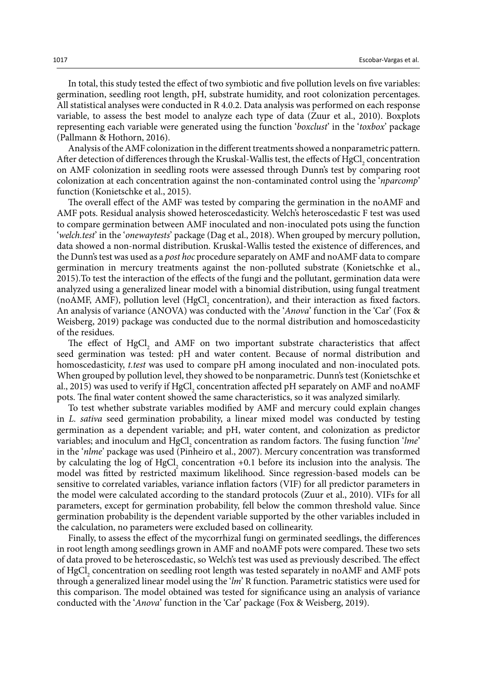In total, this study tested the effect of two symbiotic and five pollution levels on five variables: germination, seedling root length, pH, substrate humidity, and root colonization percentages. All statistical analyses were conducted in R 4.0.2. Data analysis was performed on each response variable, to assess the best model to analyze each type of data (Zuur et al., 2010). Boxplots representing each variable were generated using the function '*boxclust*' in the '*toxbox*' package (Pallmann & Hothorn, 2016).

Analysis of the AMF colonization in the different treatments showed a nonparametric pattern. After detection of differences through the Kruskal-Wallis test, the effects of  $\mathrm{HgCl}_{2}$  concentration on AMF colonization in seedling roots were assessed through Dunn's test by comparing root colonization at each concentration against the non-contaminated control using the '*nparcomp*' function (Konietschke et al., 2015).

The overall effect of the AMF was tested by comparing the germination in the noAMF and AMF pots. Residual analysis showed heteroscedasticity. Welch's heteroscedastic F test was used to compare germination between AMF inoculated and non-inoculated pots using the function '*welch.test*' in the '*onewaytests*' package (Dag et al., 2018). When grouped by mercury pollution, data showed a non-normal distribution. Kruskal-Wallis tested the existence of differences, and the Dunn's test was used as a *post hoc* procedure separately on AMF and noAMF data to compare germination in mercury treatments against the non-polluted substrate (Konietschke et al., 2015).To test the interaction of the effects of the fungi and the pollutant, germination data were analyzed using a generalized linear model with a binomial distribution, using fungal treatment (noAMF, AMF), pollution level  $(HgCl<sub>2</sub>$  concentration), and their interaction as fixed factors. An analysis of variance (ANOVA) was conducted with the '*Anova*' function in the 'Car' (Fox & Weisberg, 2019) package was conducted due to the normal distribution and homoscedasticity of the residues.

The effect of  $HgCl<sub>2</sub>$  and AMF on two important substrate characteristics that affect seed germination was tested: pH and water content. Because of normal distribution and homoscedasticity, *t.test* was used to compare pH among inoculated and non-inoculated pots. When grouped by pollution level, they showed to be nonparametric. Dunn's test (Konietschke et al., 2015) was used to verify if  $\mathrm{HgCl}_{2}$  concentration affected pH separately on AMF and noAMF pots. The final water content showed the same characteristics, so it was analyzed similarly.

To test whether substrate variables modified by AMF and mercury could explain changes in *L. sativa* seed germination probability, a linear mixed model was conducted by testing germination as a dependent variable; and pH, water content, and colonization as predictor variables; and inoculum and HgCl<sub>2</sub> concentration as random factors. The fusing function '*lme*' in the '*nlme*' package was used (Pinheiro et al., 2007). Mercury concentration was transformed by calculating the log of  $HgCl<sub>2</sub>$  concentration +0.1 before its inclusion into the analysis. The model was fitted by restricted maximum likelihood. Since regression-based models can be sensitive to correlated variables, variance inflation factors (VIF) for all predictor parameters in the model were calculated according to the standard protocols (Zuur et al., 2010). VIFs for all parameters, except for germination probability, fell below the common threshold value. Since germination probability is the dependent variable supported by the other variables included in the calculation, no parameters were excluded based on collinearity.

Finally, to assess the effect of the mycorrhizal fungi on germinated seedlings, the differences in root length among seedlings grown in AMF and noAMF pots were compared. These two sets of data proved to be heteroscedastic, so Welch's test was used as previously described. The effect of HgCl<sub>2</sub> concentration on seedling root length was tested separately in noAMF and AMF pots through a generalized linear model using the '*lm*' R function. Parametric statistics were used for this comparison. The model obtained was tested for significance using an analysis of variance conducted with the '*Anova*' function in the 'Car' package (Fox & Weisberg, 2019).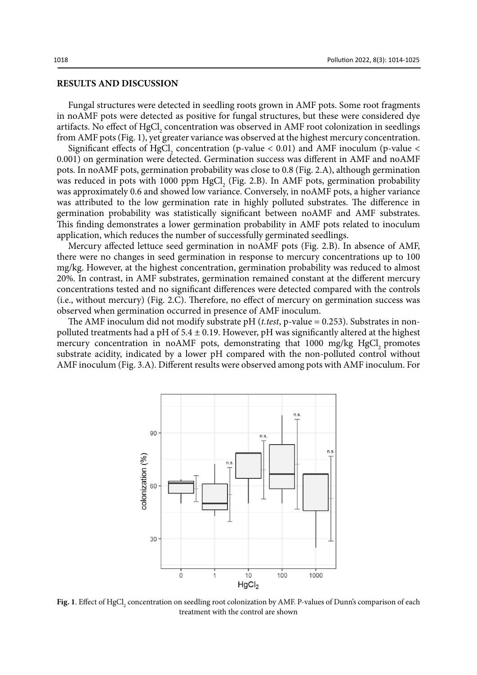# **RESULTS AND DISCUSSION**

Fungal structures were detected in seedling roots grown in AMF pots. Some root fragments in noAMF pots were detected as positive for fungal structures, but these were considered dye artifacts. No effect of  $HgCl<sub>2</sub>$  concentration was observed in AMF root colonization in seedlings from AMF pots (Fig. 1), yet greater variance was observed at the highest mercury concentration.

Significant effects of HgCl<sub>2</sub> concentration (p-value < 0.01) and AMF inoculum (p-value < 0.001) on germination were detected. Germination success was different in AMF and noAMF pots. In noAMF pots, germination probability was close to 0.8 (Fig. 2.A), although germination was reduced in pots with 1000 ppm  $HgCl<sub>2</sub>$  (Fig. 2.B). In AMF pots, germination probability was approximately 0.6 and showed low variance. Conversely, in noAMF pots, a higher variance was attributed to the low germination rate in highly polluted substrates. The difference in germination probability was statistically significant between noAMF and AMF substrates. This finding demonstrates a lower germination probability in AMF pots related to inoculum application, which reduces the number of successfully germinated seedlings.

Mercury affected lettuce seed germination in noAMF pots (Fig. 2.B). In absence of AMF, there were no changes in seed germination in response to mercury concentrations up to 100 mg/kg. However, at the highest concentration, germination probability was reduced to almost 20%. In contrast, in AMF substrates, germination remained constant at the different mercury concentrations tested and no significant differences were detected compared with the controls (i.e., without mercury) (Fig. 2.C). Therefore, no effect of mercury on germination success was observed when germination occurred in presence of AMF inoculum.

The AMF inoculum did not modify substrate pH (*t.test*, p-value = 0.253). Substrates in nonpolluted treatments had a pH of  $5.4 \pm 0.19$ . However, pH was significantly altered at the highest mercury concentration in noAMF pots, demonstrating that  $1000 \frac{\text{mg}}{\text{kg}}$  HgCl promotes substrate acidity, indicated by a lower pH compared with the non-polluted control without AMF inoculum (Fig. 3.A). Different results were observed among pots with AMF inoculum. For



**Fig. 1**. Effect of HgCl<sub>2</sub> concentration on seedling root colonization by AMF. P-values of Dunn's comparison of each treatment with the control are shown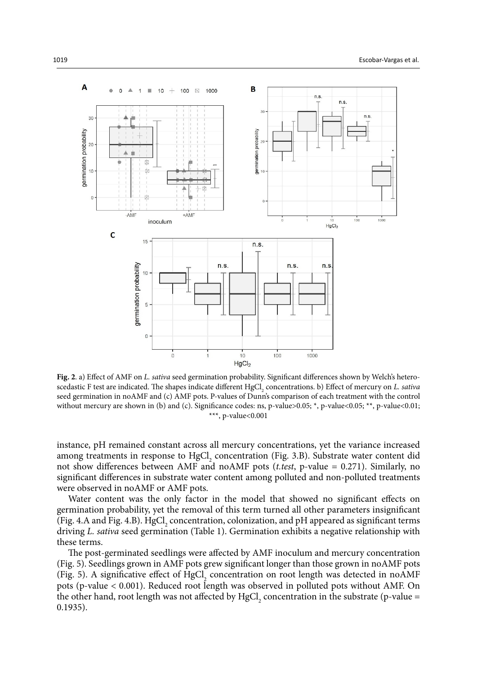

Fig. 2. a) Exercise of AMF on *L. Satisfact of Dumis* comparison of each treatment with the control  $\star \star \star$ ,  $p-value < 0.001$ **Fig. 2**. a) Effect of AMF on *L. sativa* seed germination probability. Significant differences shown by Welch's heteroscedastic F test are indicated. The shapes indicate different HgCl<sub>2</sub> concentrations. b) Effect of mercury on *L. sativa* seed germination in noAMF and (c) AMF pots. P-values of Dunn's comparison of each treatment with the control without mercury are shown in (b) and (c). Significance codes: ns, p-value>0.05; \*, p-value<0.05; \*\*, p-value<0.01; \*\*\*, p-value<0.001

instance, pH remained constant across all mercury concentrations, yet the variance increased among treatments in response to  $HgCl<sub>2</sub>$  concentration (Fig. 3.B). Substrate water content did not show differences between AMF and noAMF pots (*t.test*, p-value = 0.271). Similarly, no significant differences in substrate water content among polluted and non-polluted treatments were observed in noAMF or AMF pots. treatment with the control with the control without mercury are shown in  $\mathcal{O}(c)$ . Significance codes: ns, p $\mathcal{O}(c)$ 

Water content was the only factor in the model that showed no significant effects on germination probability, yet the removal of this term turned all other parameters insignificant (Fig. 4.A and Fig. 4.B). HgCl<sub>2</sub> concentration, colonization, and pH appeared as significant terms driving *L. sativa* seed germination (Table 1). Germination exhibits a negative relationship with these terms.

The post-germinated seedlings were affected by AMF inoculum and mercury concentration (Fig. 5). Seedlings grown in AMF pots grew significant longer than those grown in noAMF pots (Fig. 5). A significative effect of  $HgCl<sub>2</sub>$  concentration on root length was detected in noAMF pots (p-value < 0.001). Reduced root length was observed in polluted pots without AMF. On the other hand, root length was not affected by  $HgCl<sub>2</sub>$  concentration in the substrate (p-value = 0.1935).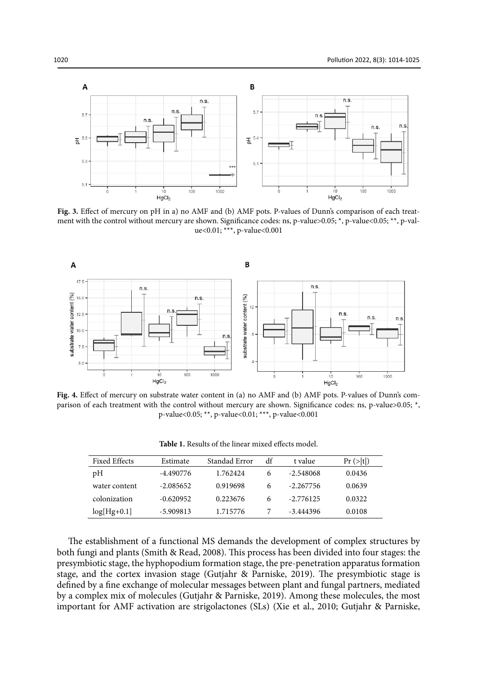

ment with the control without mercury are shown. Significance codes: ns, p-value>0.05; \*, p-value<0.05; \*\*, p-val- $\alpha$  solver,  $\gamma$  are solver. **Fig. 3.** Effect of mercury on pH in a) no AMF and (b) AMF pots. P-values of Dunn's comparison of each treatue<0.01; \*\*\*, p-value<0.001



p-value<0.05; \*\*, p-value<0.01; \*\*\*, p-values 0.001 Fig. 4. Effect of mercury on substrate water content in (a) no AMF and (b) AMF pots. P-values of Dunn's comparison of each treatment with the control without mercury are shown. Significance codes: ns, p-value>0.05; \*,

| <b>Fixed Effects</b> | Estimate    | Standad Error | df | t value     | $Pr (>\vert t \vert)$ |  |
|----------------------|-------------|---------------|----|-------------|-----------------------|--|
| pH                   | -4.490776   | 1.762424      | 6  | $-2.548068$ | 0.0436                |  |
| water content        | -2.085652   | 0.919698      | 6  | $-2.267756$ | 0.0639                |  |
| colonization         | $-0.620952$ | 0.223676      | 6  | -2.776125   | 0.0322                |  |
| $log[Hg+0.1]$        | $-5.909813$ | 1.715776      |    | -3.444396   | 0.0108                |  |

**Table 1.** Results of the linear mixed effects model. **Table 1.** Results of the linear mixed effects model.

The establishment of a functional MS demands the development of complex structures by both fungi and plants (Smith & Read, 2008). This process has been divided into four stages: the presymbiotic stage, the hyphopodium formation stage, the pre-penetration apparatus formation stage, and the cortex invasion stage (Gutjahr & Parniske, 2019). The presymbiotic stage is defined by a fine exchange of molecular messages between plant and fungal partners, mediated by a complex mix of molecules (Gutjahr & Parniske, 2019). Among these molecules, the most important for AMF activation are strigolactones (SLs) (Xie et al., 2010; Gutjahr & Parniske,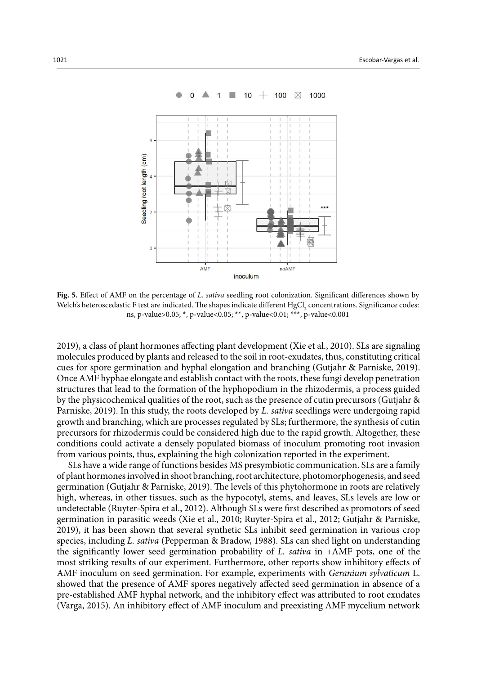

### $+$  100  $\boxtimes$  $\overline{1}$ i i 10 1000

Fig. 5. Effect of AMF on the percentage of L. sativa seedling root colonization. Significant differences shown by Welch's heteroscedastic F test are indicated. The shapes indicate different  $\mathrm{HgCl}_{2}$  concentrations. Significance codes: ns, p-value>0.05; \*, p-value<0.05; \*\*, p-value<0.01; \*\*\*, p-value<0.001

2019), a class of plant hormones affecting plant development (Xie et al., 2010). SLs are signaling molecules produced by plants and released to the soil in root-exudates, thus, constituting critical cues for spore germination and hyphal elongation and branching (Gutjahr & Parniske, 2019). Once AMF hyphae elongate and establish contact with the roots, these fungi develop penetration structures that lead to the formation of the hyphopodium in the rhizodermis, a process guided by the physicochemical qualities of the root, such as the presence of cutin precursors (Gutjahr & Parniske, 2019). In this study, the roots developed by *L. sativa* seedlings were undergoing rapid growth and branching, which are processes regulated by SLs; furthermore, the synthesis of cutin precursors for rhizodermis could be considered high due to the rapid growth. Altogether, these conditions could activate a densely populated biomass of inoculum promoting root invasion from various points, thus, explaining the high colonization reported in the experiment.

SLs have a wide range of functions besides MS presymbiotic communication. SLs are a family of plant hormones involved in shoot branching, root architecture, photomorphogenesis, and seed germination (Gutjahr & Parniske, 2019). The levels of this phytohormone in roots are relatively high, whereas, in other tissues, such as the hypocotyl, stems, and leaves, SLs levels are low or undetectable (Ruyter-Spira et al., 2012). Although SLs were first described as promotors of seed germination in parasitic weeds (Xie et al., 2010; Ruyter-Spira et al., 2012; Gutjahr & Parniske, 2019), it has been shown that several synthetic SLs inhibit seed germination in various crop species, including *L. sativa* (Pepperman & Bradow, 1988). SLs can shed light on understanding the significantly lower seed germination probability of *L. sativa* in +AMF pots, one of the most striking results of our experiment. Furthermore, other reports show inhibitory effects of AMF inoculum on seed germination. For example, experiments with *Geranium sylvaticum* L. showed that the presence of AMF spores negatively affected seed germination in absence of a pre-established AMF hyphal network, and the inhibitory effect was attributed to root exudates (Varga, 2015). An inhibitory effect of AMF inoculum and preexisting AMF mycelium network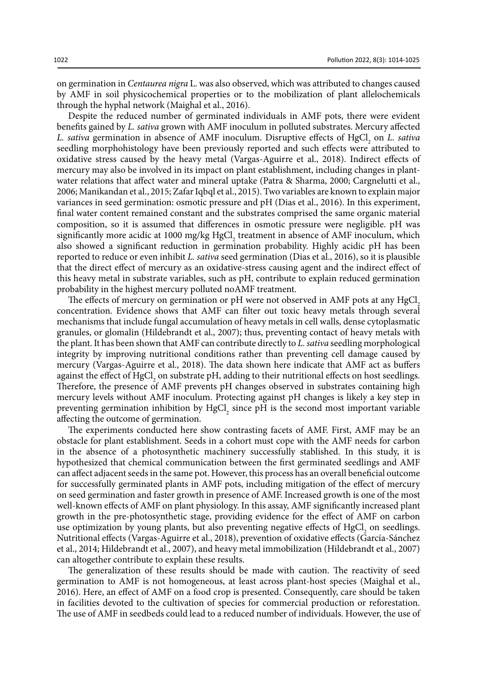on germination in *Centaurea nigra* L. was also observed, which was attributed to changes caused by AMF in soil physicochemical properties or to the mobilization of plant allelochemicals through the hyphal network (Maighal et al., 2016).

Despite the reduced number of germinated individuals in AMF pots, there were evident benefits gained by *L. sativa* grown with AMF inoculum in polluted substrates. Mercury affected *L. sativa* germination in absence of AMF inoculum. Disruptive effects of HgCl<sub>2</sub> on *L. sativa* seedling morphohistology have been previously reported and such effects were attributed to oxidative stress caused by the heavy metal (Vargas-Aguirre et al., 2018). Indirect effects of mercury may also be involved in its impact on plant establishment, including changes in plantwater relations that affect water and mineral uptake (Patra & Sharma, 2000; Cargnelutti et al., 2006; Manikandan et al., 2015; Zafar Iqbql et al., 2015). Two variables are known to explain major variances in seed germination: osmotic pressure and pH (Dias et al., 2016). In this experiment, final water content remained constant and the substrates comprised the same organic material composition, so it is assumed that differences in osmotic pressure were negligible. pH was significantly more acidic at 1000 mg/kg HgCl<sub>2</sub> treatment in absence of AMF inoculum, which also showed a significant reduction in germination probability. Highly acidic pH has been reported to reduce or even inhibit *L. sativa* seed germination (Dias et al., 2016), so it is plausible that the direct effect of mercury as an oxidative-stress causing agent and the indirect effect of this heavy metal in substrate variables, such as pH, contribute to explain reduced germination probability in the highest mercury polluted noAMF treatment.

The effects of mercury on germination or pH were not observed in AMF pots at any HgCl. concentration. Evidence shows that AMF can filter out toxic heavy metals through several mechanisms that include fungal accumulation of heavy metals in cell walls, dense cytoplasmatic granules, or glomalin (Hildebrandt et al., 2007); thus, preventing contact of heavy metals with the plant. It has been shown that AMF can contribute directly to *L. sativa* seedling morphological integrity by improving nutritional conditions rather than preventing cell damage caused by mercury (Vargas-Aguirre et al., 2018). The data shown here indicate that AMF act as buffers against the effect of  $HgCl<sub>2</sub>$  on substrate pH, adding to their nutritional effects on host seedlings. Therefore, the presence of AMF prevents pH changes observed in substrates containing high mercury levels without AMF inoculum. Protecting against pH changes is likely a key step in preventing germination inhibition by  $HgCl<sub>2</sub>$  since pH is the second most important variable affecting the outcome of germination.

The experiments conducted here show contrasting facets of AMF. First, AMF may be an obstacle for plant establishment. Seeds in a cohort must cope with the AMF needs for carbon in the absence of a photosynthetic machinery successfully stablished. In this study, it is hypothesized that chemical communication between the first germinated seedlings and AMF can affect adjacent seeds in the same pot. However, this process has an overall beneficial outcome for successfully germinated plants in AMF pots, including mitigation of the effect of mercury on seed germination and faster growth in presence of AMF. Increased growth is one of the most well-known effects of AMF on plant physiology. In this assay, AMF significantly increased plant growth in the pre-photosynthetic stage, providing evidence for the effect of AMF on carbon use optimization by young plants, but also preventing negative effects of  $HgCl<sub>2</sub>$  on seedlings. Nutritional effects (Vargas-Aguirre et al., 2018), prevention of oxidative effects (García-Sánchez et al., 2014; Hildebrandt et al., 2007), and heavy metal immobilization (Hildebrandt et al., 2007) can altogether contribute to explain these results.

The generalization of these results should be made with caution. The reactivity of seed germination to AMF is not homogeneous, at least across plant-host species (Maighal et al., 2016). Here, an effect of AMF on a food crop is presented. Consequently, care should be taken in facilities devoted to the cultivation of species for commercial production or reforestation. The use of AMF in seedbeds could lead to a reduced number of individuals. However, the use of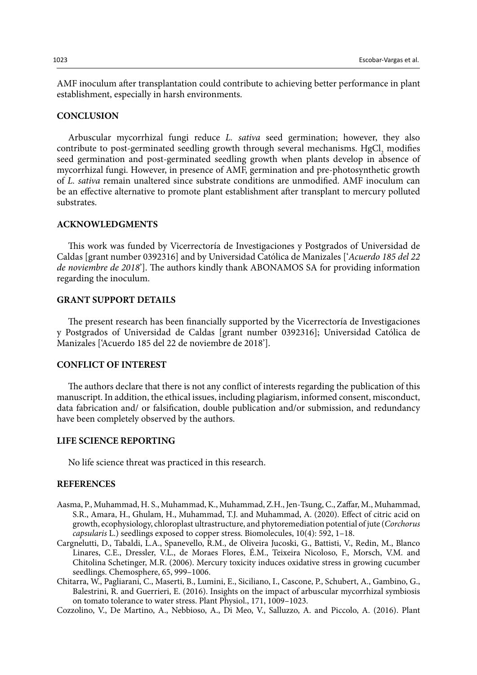AMF inoculum after transplantation could contribute to achieving better performance in plant establishment, especially in harsh environments.

### **CONCLUSION**

Arbuscular mycorrhizal fungi reduce *L. sativa* seed germination; however, they also contribute to post-germinated seedling growth through several mechanisms.  $HgCl_2$  modifies seed germination and post-germinated seedling growth when plants develop in absence of mycorrhizal fungi. However, in presence of AMF, germination and pre-photosynthetic growth of *L. sativa* remain unaltered since substrate conditions are unmodified. AMF inoculum can be an effective alternative to promote plant establishment after transplant to mercury polluted substrates.

# **ACKNOWLEDGMENTS**

This work was funded by Vicerrectoría de Investigaciones y Postgrados of Universidad de Caldas [grant number 0392316] and by Universidad Católica de Manizales ['*Acuerdo 185 del 22 de noviembre de 2018*']. The authors kindly thank ABONAMOS SA for providing information regarding the inoculum.

# **GRANT SUPPORT DETAILS**

The present research has been financially supported by the Vicerrectoría de Investigaciones y Postgrados of Universidad de Caldas [grant number 0392316]; Universidad Católica de Manizales ['Acuerdo 185 del 22 de noviembre de 2018'].

### **CONFLICT OF INTEREST**

The authors declare that there is not any conflict of interests regarding the publication of this manuscript. In addition, the ethical issues, including plagiarism, informed consent, misconduct, data fabrication and/ or falsification, double publication and/or submission, and redundancy have been completely observed by the authors.

### **LIFE SCIENCE REPORTING**

No life science threat was practiced in this research.

### **REFERENCES**

- Aasma, P., Muhammad, H. S., Muhammad, K., Muhammad, Z.H., Jen-Tsung, C., Zaffar, M., Muhammad, S.R., Amara, H., Ghulam, H., Muhammad, T.J. and Muhammad, A. (2020). Effect of citric acid on growth, ecophysiology, chloroplast ultrastructure, and phytoremediation potential of jute (*Corchorus capsularis* L.) seedlings exposed to copper stress. Biomolecules, 10(4): 592, 1–18.
- Cargnelutti, D., Tabaldi, L.A., Spanevello, R.M., de Oliveira Jucoski, G., Battisti, V., Redin, M., Blanco Linares, C.E., Dressler, V.L., de Moraes Flores, É.M., Teixeira Nicoloso, F., Morsch, V.M. and Chitolina Schetinger, M.R. (2006). Mercury toxicity induces oxidative stress in growing cucumber seedlings. Chemosphere, 65, 999–1006.
- Chitarra, W., Pagliarani, C., Maserti, B., Lumini, E., Siciliano, I., Cascone, P., Schubert, A., Gambino, G., Balestrini, R. and Guerrieri, E. (2016). Insights on the impact of arbuscular mycorrhizal symbiosis on tomato tolerance to water stress. Plant Physiol., 171, 1009–1023.
- Cozzolino, V., De Martino, A., Nebbioso, A., Di Meo, V., Salluzzo, A. and Piccolo, A. (2016). Plant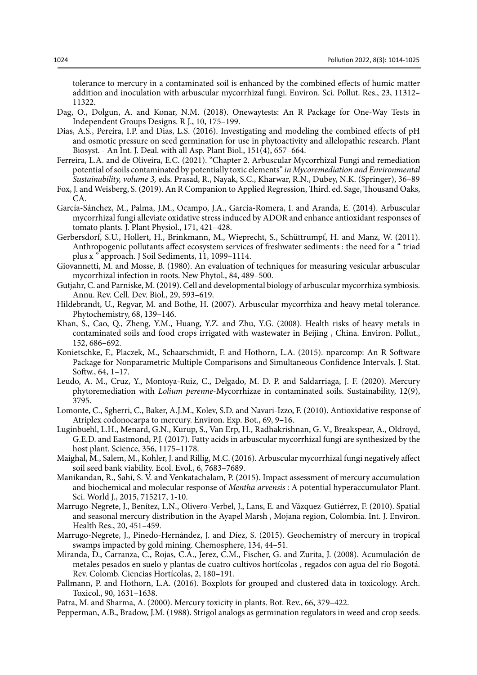tolerance to mercury in a contaminated soil is enhanced by the combined effects of humic matter addition and inoculation with arbuscular mycorrhizal fungi. Environ. Sci. Pollut. Res., 23, 11312– 11322.

- Dag, O., Dolgun, A. and Konar, N.M. (2018). Onewaytests: An R Package for One-Way Tests in Independent Groups Designs. R J., 10, 175–199.
- Dias, A.S., Pereira, I.P. and Dias, L.S. (2016). Investigating and modeling the combined effects of pH and osmotic pressure on seed germination for use in phytoactivity and allelopathic research. Plant Biosyst. - An Int. J. Deal. with all Asp. Plant Biol., 151(4), 657–664.
- Ferreira, L.A. and de Oliveira, E.C. (2021). "Chapter 2. Arbuscular Mycorrhizal Fungi and remediation potential of soils contaminated by potentially toxic elements" *in Mycoremediation and Environmental Sustainability, volume 3,* eds. Prasad, R., Nayak, S.C., Kharwar, R.N., Dubey, N.K. (Springer), 36–89
- Fox, J. and Weisberg, S. (2019). An R Companion to Applied Regression, Third. ed. Sage, Thousand Oaks, CA.
- García-Sánchez, M., Palma, J.M., Ocampo, J.A., García-Romera, I. and Aranda, E. (2014). Arbuscular mycorrhizal fungi alleviate oxidative stress induced by ADOR and enhance antioxidant responses of tomato plants. J. Plant Physiol., 171, 421–428.
- Gerbersdorf, S.U., Hollert, H., Brinkmann, M., Wieprecht, S., Schüttrumpf, H. and Manz, W. (2011). Anthropogenic pollutants affect ecosystem services of freshwater sediments : the need for a " triad plus x " approach. J Soil Sediments, 11, 1099–1114.
- Giovannetti, M. and Mosse, B. (1980). An evaluation of techniques for measuring vesicular arbuscular mycorrhizal infection in roots. New Phytol., 84, 489–500.
- Gutjahr, C. and Parniske, M. (2019). Cell and developmental biology of arbuscular mycorrhiza symbiosis. Annu. Rev. Cell. Dev. Biol., 29, 593–619.
- Hildebrandt, U., Regvar, M. and Bothe, H. (2007). Arbuscular mycorrhiza and heavy metal tolerance. Phytochemistry, 68, 139–146.
- Khan, S., Cao, Q., Zheng, Y.M., Huang, Y.Z. and Zhu, Y.G. (2008). Health risks of heavy metals in contaminated soils and food crops irrigated with wastewater in Beijing , China. Environ. Pollut., 152, 686–692.
- Konietschke, F., Placzek, M., Schaarschmidt, F. and Hothorn, L.A. (2015). nparcomp: An R Software Package for Nonparametric Multiple Comparisons and Simultaneous Confidence Intervals. J. Stat. Softw., 64, 1–17.
- Leudo, A. M., Cruz, Y., Montoya-Ruiz, C., Delgado, M. D. P. and Saldarriaga, J. F. (2020). Mercury phytoremediation with *Lolium perenne*-Mycorrhizae in contaminated soils. Sustainability, 12(9), 3795.
- Lomonte, C., Sgherri, C., Baker, A.J.M., Kolev, S.D. and Navari-Izzo, F. (2010). Antioxidative response of Atriplex codonocarpa to mercury. Environ. Exp. Bot., 69, 9–16.
- Luginbuehl, L.H., Menard, G.N., Kurup, S., Van Erp, H., Radhakrishnan, G. V., Breakspear, A., Oldroyd, G.E.D. and Eastmond, P.J. (2017). Fatty acids in arbuscular mycorrhizal fungi are synthesized by the host plant. Science, 356, 1175–1178.
- Maighal, M., Salem, M., Kohler, J. and Rillig, M.C. (2016). Arbuscular mycorrhizal fungi negatively affect soil seed bank viability. Ecol. Evol., 6, 7683–7689.
- Manikandan, R., Sahi, S. V. and Venkatachalam, P. (2015). Impact assessment of mercury accumulation and biochemical and molecular response of *Mentha arvensis* : A potential hyperaccumulator Plant. Sci. World J., 2015, 715217, 1-10.
- Marrugo-Negrete, J., Benítez, L.N., Olivero-Verbel, J., Lans, E. and Vázquez-Gutiérrez, F. (2010). Spatial and seasonal mercury distribution in the Ayapel Marsh , Mojana region, Colombia. Int. J. Environ. Health Res., 20, 451–459.
- Marrugo-Negrete, J., Pinedo-Hernández, J. and Díez, S. (2015). Geochemistry of mercury in tropical swamps impacted by gold mining. Chemosphere, 134, 44–51.
- Miranda, D., Carranza, C., Rojas, C.A., Jerez, C.M., Fischer, G. and Zurita, J. (2008). Acumulación de metales pesados en suelo y plantas de cuatro cultivos hortícolas , regados con agua del río Bogotá. Rev. Colomb. Ciencias Hortícolas, 2, 180–191.
- Pallmann, P. and Hothorn, L.A. (2016). Boxplots for grouped and clustered data in toxicology. Arch. Toxicol., 90, 1631–1638.

Patra, M. and Sharma, A. (2000). Mercury toxicity in plants. Bot. Rev., 66, 379–422.

Pepperman, A.B., Bradow, J.M. (1988). Strigol analogs as germination regulators in weed and crop seeds.